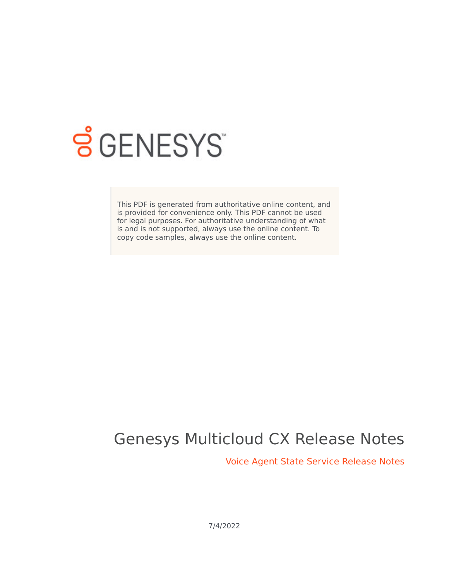

# **SGENESYS**

This PDF is generated from authoritative online content, and is provided for convenience only. This PDF cannot be used for legal purposes. For authoritative understanding of what is and is not supported, always use the online content. To copy code samples, always use the online content.

# Genesys Multicloud CX Release Notes

Voice Agent State Service Release Notes

7/4/2022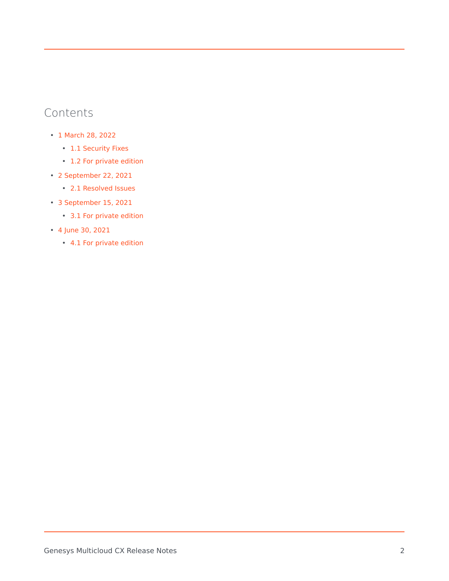# Contents

- 1 [March 28, 2022](#page-3-0)
	- 1.1 [Security Fixes](#page-3-1)
	- 1.2 [For private edition](#page-4-0)
- 2 [September 22, 2021](#page-4-1)
	- 2.1 [Resolved Issues](#page-4-2)
- 3 [September 15, 2021](#page-4-3)
	- 3.1 [For private edition](#page-4-4)
- 4 [June 30, 2021](#page-5-0)
	- 4.1 [For private edition](#page-5-1)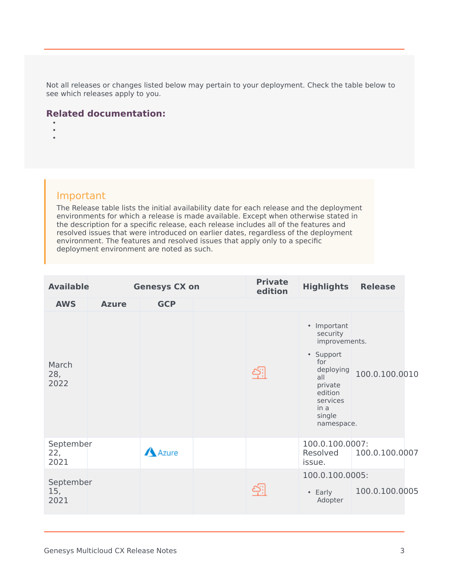Not all releases or changes listed below may pertain to your deployment. Check the table below to see which releases apply to you.

#### **Related documentation:**

- •
- •

#### Important

The Release table lists the initial availability date for each release and the deployment environments for which a release is made available. Except when otherwise stated in the description for a specific release, each release includes all of the features and resolved issues that were introduced on earlier dates, regardless of the deployment environment. The features and resolved issues that apply only to a specific deployment environment are noted as such.

| <b>Available</b>         | <b>Genesys CX on</b> |              | <b>Private</b><br>edition | <b>Highlights</b>                                                                                                                                  | <b>Release</b> |
|--------------------------|----------------------|--------------|---------------------------|----------------------------------------------------------------------------------------------------------------------------------------------------|----------------|
| <b>AWS</b>               | <b>Azure</b>         | <b>GCP</b>   |                           |                                                                                                                                                    |                |
| March<br>28,<br>2022     |                      |              |                           | • Important<br>security<br>improvements.<br>• Support<br>for<br>deploying<br>all<br>private<br>edition<br>services<br>in a<br>single<br>namespace. | 100.0.100.0010 |
| September<br>22,<br>2021 |                      | <b>Azure</b> |                           | 100.0.100.0007:<br>Resolved<br>issue.                                                                                                              | 100.0.100.0007 |
| September<br>15,<br>2021 |                      |              |                           | 100.0.100.0005:<br>• Early<br>Adopter                                                                                                              | 100.0.100.0005 |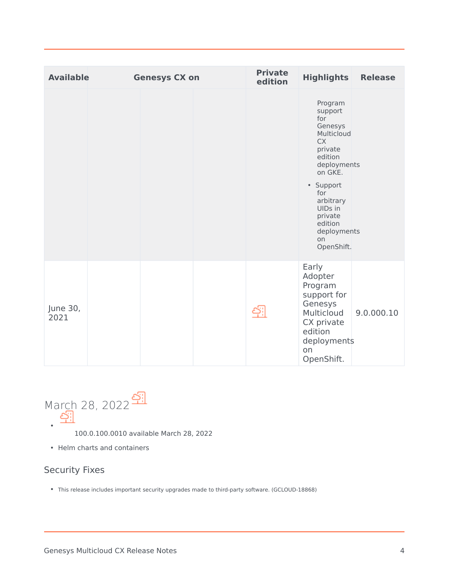| <b>Available</b> | <b>Genesys CX on</b> | <b>Private</b><br>edition | <b>Highlights</b>                                                                                                                                                                                                    | <b>Release</b> |
|------------------|----------------------|---------------------------|----------------------------------------------------------------------------------------------------------------------------------------------------------------------------------------------------------------------|----------------|
|                  |                      |                           | Program<br>support<br>for<br>Genesys<br>Multicloud<br><b>CX</b><br>private<br>edition<br>deployments<br>on GKE.<br>• Support<br>for<br>arbitrary<br>UIDs in<br>private<br>edition<br>deployments<br>on<br>OpenShift. |                |
| June 30,<br>2021 |                      |                           | Early<br>Adopter<br>Program<br>support for<br>Genesys<br>Multicloud<br>CX private<br>edition<br>deployments<br>on<br>OpenShift.                                                                                      | 9.0.000.10     |

<span id="page-3-0"></span>

- 100.0.100.0010 available March 28, 2022
- Helm charts and containers

### <span id="page-3-1"></span>Security Fixes

• This release includes important security upgrades made to third-party software. (GCLOUD-18868)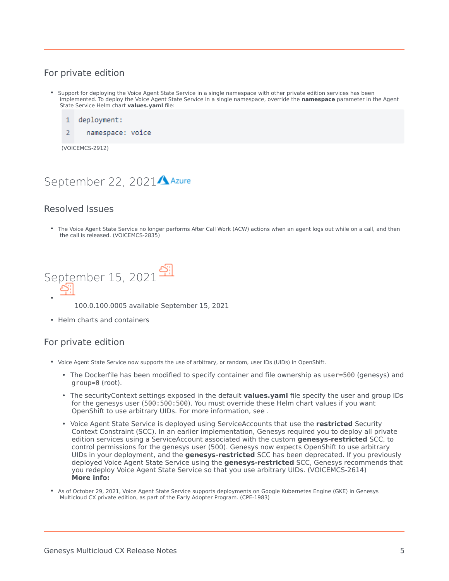#### <span id="page-4-0"></span>For private edition

- Support for deploying the Voice Agent State Service in a single namespace with other private edition services has been implemented. To deploy the Voice Agent State Service in a single namespace, override the **namespace** parameter in the Agent State Service Helm chart **values.yaml** file:
	- $\mathbf{1}$ deployment:
	- $\overline{2}$ namespace: voice

(VOICEMCS-2912)

## <span id="page-4-1"></span>September 22, 2021<sup>A Azure</sup>

#### <span id="page-4-2"></span>Resolved Issues

• The Voice Agent State Service no longer performs After Call Work (ACW) actions when an agent logs out while on a call, and then the call is released. (VOICEMCS-2835)

<span id="page-4-3"></span>

100.0.100.0005 available September 15, 2021

• Helm charts and containers

#### <span id="page-4-4"></span>For private edition

- Voice Agent State Service now supports the use of arbitrary, or random, user IDs (UIDs) in OpenShift.
	- The Dockerfile has been modified to specify container and file ownership as user=500 (genesys) and group=0 (root).
	- The securityContext settings exposed in the default **values.yaml** file specify the user and group IDs for the genesys user (500:500:500). You must override these Helm chart values if you want OpenShift to use arbitrary UIDs. For more information, see .
	- Voice Agent State Service is deployed using ServiceAccounts that use the **restricted** Security Context Constraint (SCC). In an earlier implementation, Genesys required you to deploy all private edition services using a ServiceAccount associated with the custom **genesys-restricted** SCC, to control permissions for the genesys user (500). Genesys now expects OpenShift to use arbitrary UIDs in your deployment, and the **genesys-restricted** SCC has been deprecated. If you previously deployed Voice Agent State Service using the **genesys-restricted** SCC, Genesys recommends that you redeploy Voice Agent State Service so that you use arbitrary UIDs. (VOICEMCS-2614) **More info:**
- As of October 29, 2021, Voice Agent State Service supports deployments on Google Kubernetes Engine (GKE) in Genesys Multicloud CX private edition, as part of the Early Adopter Program. (CPE-1983)